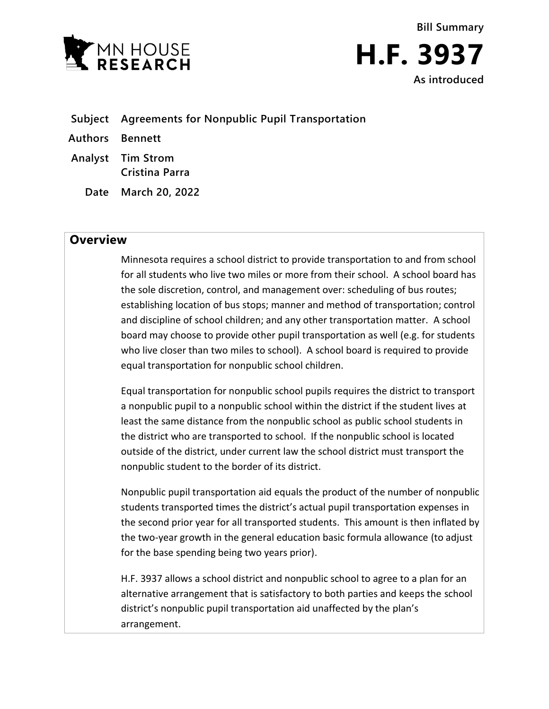



- **Subject Agreements for Nonpublic Pupil Transportation**
- **Authors Bennett**
- **Analyst Tim Strom Cristina Parra**
	- **Date March 20, 2022**

## **Overview**

Minnesota requires a school district to provide transportation to and from school for all students who live two miles or more from their school. A school board has the sole discretion, control, and management over: scheduling of bus routes; establishing location of bus stops; manner and method of transportation; control and discipline of school children; and any other transportation matter. A school board may choose to provide other pupil transportation as well (e.g. for students who live closer than two miles to school). A school board is required to provide equal transportation for nonpublic school children.

Equal transportation for nonpublic school pupils requires the district to transport a nonpublic pupil to a nonpublic school within the district if the student lives at least the same distance from the nonpublic school as public school students in the district who are transported to school. If the nonpublic school is located outside of the district, under current law the school district must transport the nonpublic student to the border of its district.

Nonpublic pupil transportation aid equals the product of the number of nonpublic students transported times the district's actual pupil transportation expenses in the second prior year for all transported students. This amount is then inflated by the two-year growth in the general education basic formula allowance (to adjust for the base spending being two years prior).

H.F. 3937 allows a school district and nonpublic school to agree to a plan for an alternative arrangement that is satisfactory to both parties and keeps the school district's nonpublic pupil transportation aid unaffected by the plan's arrangement.